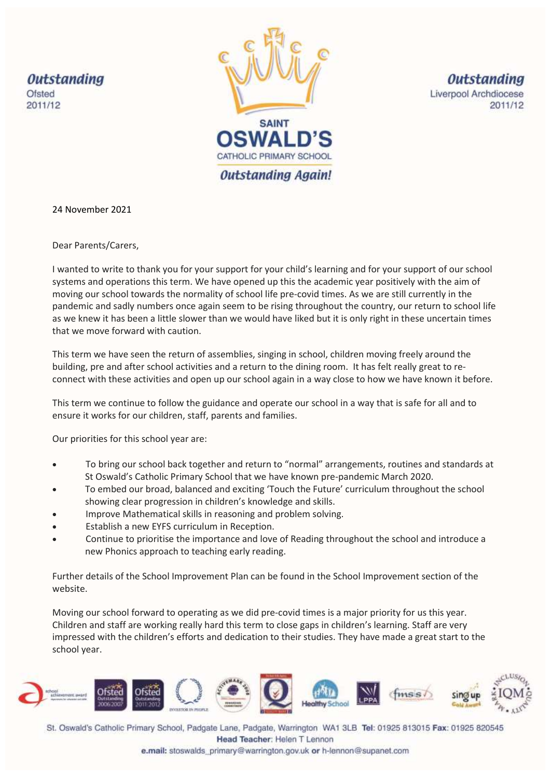**Outstanding** Ofsted 2011/12



**Outstanding** Liverpool Archdiocese 2011/12

24 November 2021

Dear Parents/Carers,

I wanted to write to thank you for your support for your child's learning and for your support of our school systems and operations this term. We have opened up this the academic year positively with the aim of moving our school towards the normality of school life pre-covid times. As we are still currently in the pandemic and sadly numbers once again seem to be rising throughout the country, our return to school life as we knew it has been a little slower than we would have liked but it is only right in these uncertain times that we move forward with caution.

This term we have seen the return of assemblies, singing in school, children moving freely around the building, pre and after school activities and a return to the dining room. It has felt really great to reconnect with these activities and open up our school again in a way close to how we have known it before.

This term we continue to follow the guidance and operate our school in a way that is safe for all and to ensure it works for our children, staff, parents and families.

Our priorities for this school year are:

- To bring our school back together and return to "normal" arrangements, routines and standards at St Oswald's Catholic Primary School that we have known pre-pandemic March 2020.
- To embed our broad, balanced and exciting 'Touch the Future' curriculum throughout the school showing clear progression in children's knowledge and skills.
- Improve Mathematical skills in reasoning and problem solving.
- Establish a new EYFS curriculum in Reception.
- Continue to prioritise the importance and love of Reading throughout the school and introduce a new Phonics approach to teaching early reading.

Further details of the School Improvement Plan can be found in the School Improvement section of the website.

Moving our school forward to operating as we did pre-covid times is a major priority for us this year. Children and staff are working really hard this term to close gaps in children's learning. Staff are very impressed with the children's efforts and dedication to their studies. They have made a great start to the school year.



St. Oswald's Catholic Primary School, Padgate Lane, Padgate, Warrington WA1 3LB Tel: 01925 813015 Fax: 01925 820545 Head Teacher: Helen T Lennon

e.mail: stoswalds\_primary@warrington.gov.uk or h-lennon@supanet.com